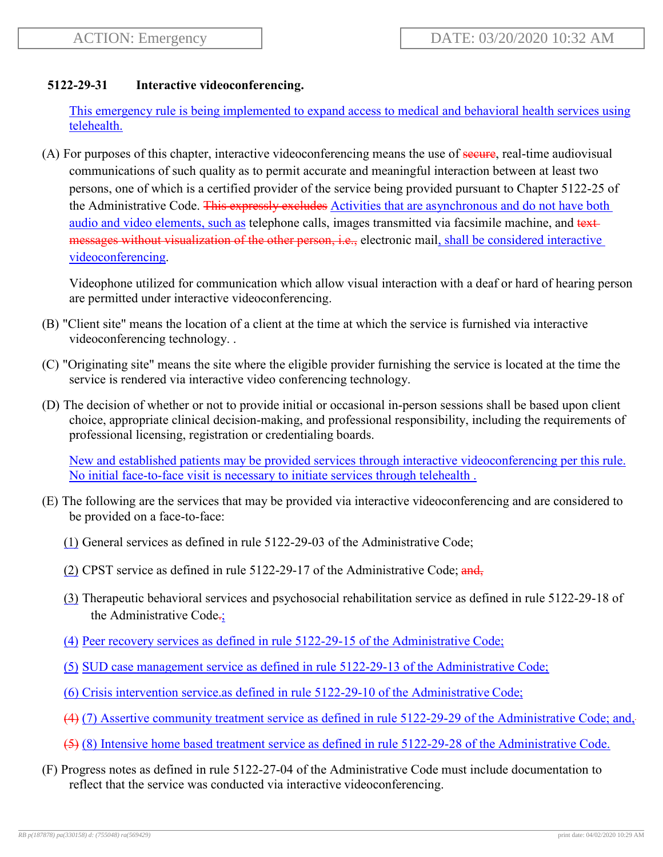## **5122-29-31 Interactive videoconferencing.**

This emergency rule is being implemented to expand access to medical and behavioral health services using telehealth.

(A) For purposes of this chapter, interactive videoconferencing means the use of secure, real-time audiovisual communications of such quality as to permit accurate and meaningful interaction between at least two persons, one of which is a certified provider of the service being provided pursuant to Chapter 5122-25 of the Administrative Code. This expressly excludes Activities that are asynchronous and do not have both audio and video elements, such as telephone calls, images transmitted via facsimile machine, and text messages without visualization of the other person, i.e., electronic mail, shall be considered interactive videoconferencing.

Videophone utilized for communication which allow visual interaction with a deaf or hard of hearing person are permitted under interactive videoconferencing.

- (B) "Client site" means the location of a client at the time at which the service is furnished via interactive videoconferencing technology. .
- (C) "Originating site" means the site where the eligible provider furnishing the service is located at the time the service is rendered via interactive video conferencing technology.
- (D) The decision of whether or not to provide initial or occasional in-person sessions shall be based upon client choice, appropriate clinical decision-making, and professional responsibility, including the requirements of professional licensing, registration or credentialing boards.

New and established patients may be provided services through interactive videoconferencing per this rule. No initial face-to-face visit is necessary to initiate services through telehealth .

- (E) The following are the services that may be provided via interactive videoconferencing and are considered to be provided on a face-to-face:
	- (1) General services as defined in rule 5122-29-03 of the Administrative Code;
	- (2) CPST service as defined in rule  $5122-29-17$  of the Administrative Code; and,
	- (3) Therapeutic behavioral services and psychosocial rehabilitation service as defined in rule 5122-29-18 of the Administrative Code.;
	- (4) Peer recovery services as defined in rule 5122-29-15 of the Administrative Code;
	- (5) SUD case management service as defined in rule 5122-29-13 of the Administrative Code;
	- (6) Crisis intervention service.as defined in rule 5122-29-10 of the Administrative Code;
	- (4) (7) Assertive community treatment service as defined in rule 5122-29-29 of the Administrative Code; and,
	- (5) (8) Intensive home based treatment service as defined in rule 5122-29-28 of the Administrative Code.
- (F) Progress notes as defined in rule 5122-27-04 of the Administrative Code must include documentation to reflect that the service was conducted via interactive videoconferencing.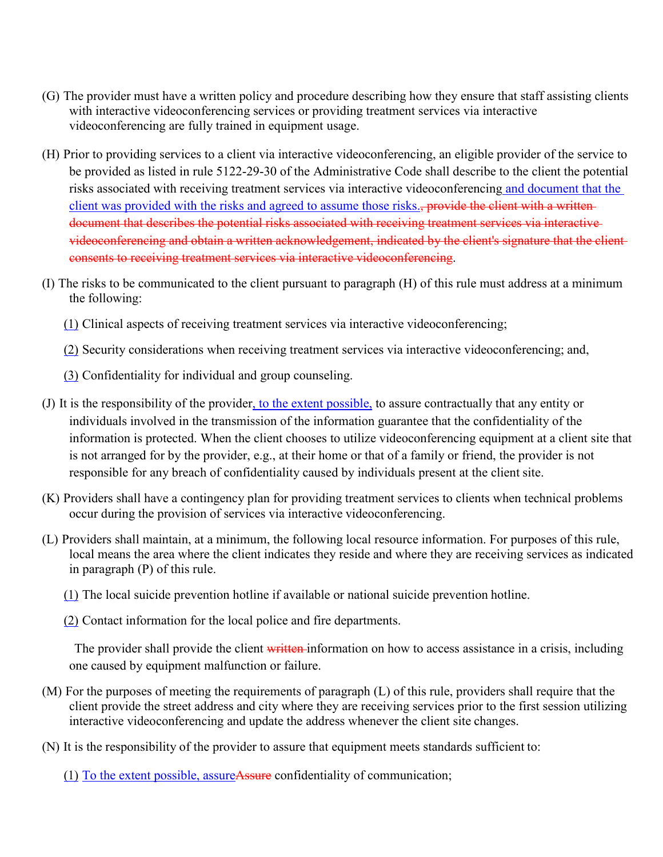- (G) The provider must have a written policy and procedure describing how they ensure that staff assisting clients with interactive videoconferencing services or providing treatment services via interactive videoconferencing are fully trained in equipment usage.
- (H) Prior to providing services to a client via interactive videoconferencing, an eligible provider of the service to be provided as listed in rule 5122-29-30 of the Administrative Code shall describe to the client the potential risks associated with receiving treatment services via interactive videoconferencing and document that the client was provided with the risks and agreed to assume those risks., provide the client with a writtendocument that describes the potential risks associated with receiving treatment services via interactive videoconferencing and obtain a written acknowledgement, indicated by the client's signature that the client consents to receiving treatment services via interactive videoconferencing.
- (I) The risks to be communicated to the client pursuant to paragraph (H) of this rule must address at a minimum the following:
	- (1) Clinical aspects of receiving treatment services via interactive videoconferencing;
	- (2) Security considerations when receiving treatment services via interactive videoconferencing; and,
	- (3) Confidentiality for individual and group counseling.
- (J) It is the responsibility of the provider, to the extent possible, to assure contractually that any entity or individuals involved in the transmission of the information guarantee that the confidentiality of the information is protected. When the client chooses to utilize videoconferencing equipment at a client site that is not arranged for by the provider, e.g., at their home or that of a family or friend, the provider is not responsible for any breach of confidentiality caused by individuals present at the client site.
- (K) Providers shall have a contingency plan for providing treatment services to clients when technical problems occur during the provision of services via interactive videoconferencing.
- (L) Providers shall maintain, at a minimum, the following local resource information. For purposes of this rule, local means the area where the client indicates they reside and where they are receiving services as indicated in paragraph (P) of this rule.
	- (1) The local suicide prevention hotline if available or national suicide prevention hotline.
	- (2) Contact information for the local police and fire departments.

The provider shall provide the client written information on how to access assistance in a crisis, including one caused by equipment malfunction or failure.

- (M) For the purposes of meeting the requirements of paragraph (L) of this rule, providers shall require that the client provide the street address and city where they are receiving services prior to the first session utilizing interactive videoconferencing and update the address whenever the client site changes.
- (N) It is the responsibility of the provider to assure that equipment meets standards sufficient to:
	- (1) To the extent possible, assureAssure confidentiality of communication;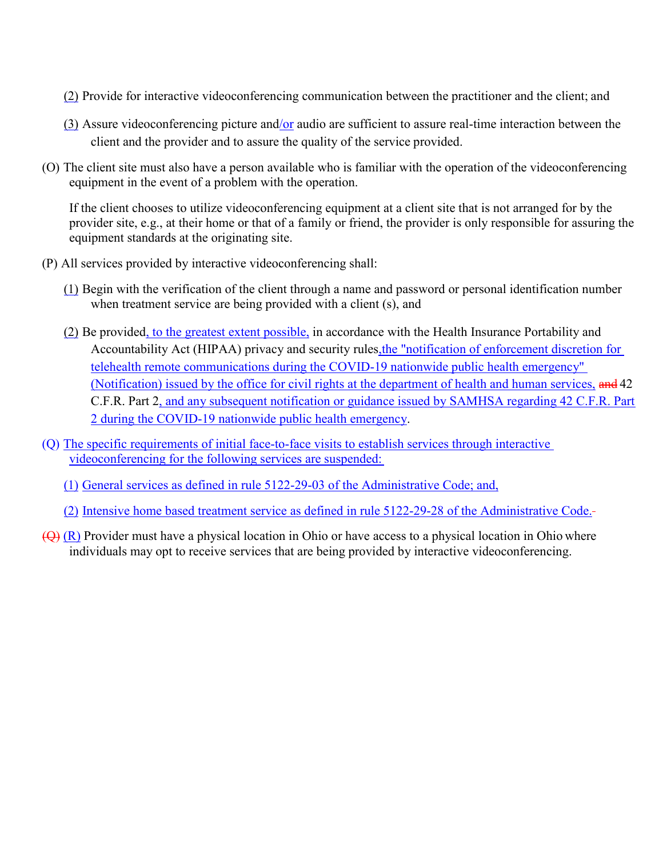- (2) Provide for interactive videoconferencing communication between the practitioner and the client; and
- (3) Assure videoconferencing picture and/or audio are sufficient to assure real-time interaction between the client and the provider and to assure the quality of the service provided.
- (O) The client site must also have a person available who is familiar with the operation of the videoconferencing equipment in the event of a problem with the operation.

If the client chooses to utilize videoconferencing equipment at a client site that is not arranged for by the provider site, e.g., at their home or that of a family or friend, the provider is only responsible for assuring the equipment standards at the originating site.

- (P) All services provided by interactive videoconferencing shall:
	- (1) Begin with the verification of the client through a name and password or personal identification number when treatment service are being provided with a client (s), and
	- (2) Be provided, to the greatest extent possible, in accordance with the Health Insurance Portability and Accountability Act (HIPAA) privacy and security rules,the "notification of enforcement discretion for telehealth remote communications during the COVID-19 nationwide public health emergency" (Notification) issued by the office for civil rights at the department of health and human services, and 42 C.F.R. Part 2, and any subsequent notification or guidance issued by SAMHSA regarding 42 C.F.R. Part 2 during the COVID-19 nationwide public health emergency.
- (Q) The specific requirements of initial face-to-face visits to establish services through interactive videoconferencing for the following services are suspended:
	- (1) General services as defined in rule 5122-29-03 of the Administrative Code; and,
	- (2) Intensive home based treatment service as defined in rule 5122-29-28 of the Administrative Code.
- $(\Theta)$  (R) Provider must have a physical location in Ohio or have access to a physical location in Ohio where individuals may opt to receive services that are being provided by interactive videoconferencing.